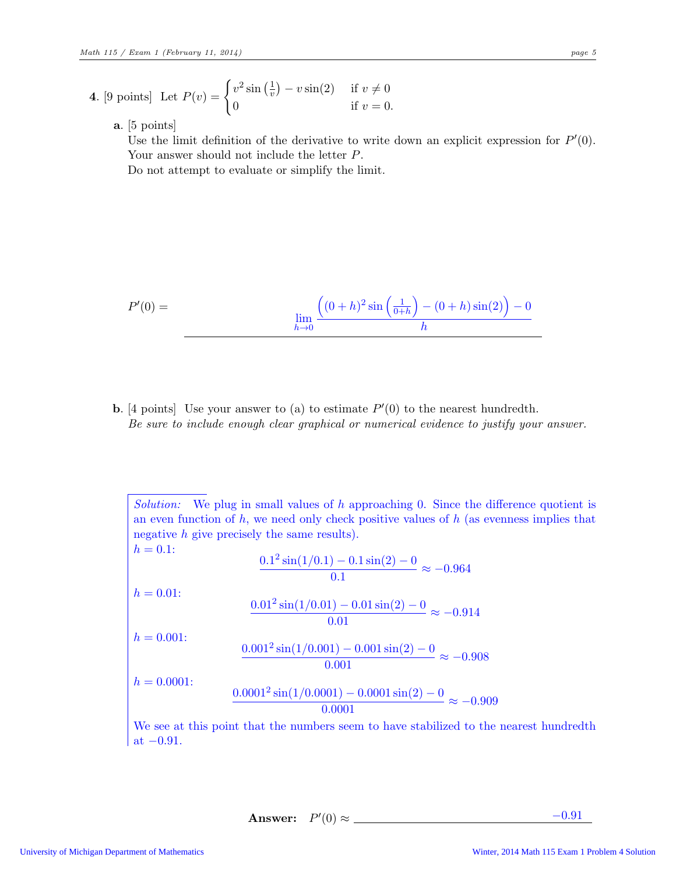- 4. [9 points] Let  $P(v) = \begin{cases} v^2 \sin(\frac{1}{v}) v \sin(2) & \text{if } v \neq 0 \\ 0 & \text{if } v = 0 \end{cases}$ 0 if  $v = 0$ .
	- a. [5 points]

Use the limit definition of the derivative to write down an explicit expression for  $P'(0)$ . Your answer should not include the letter P. Do not attempt to evaluate or simplify the limit.

$$
P'(0) = \lim_{h \to 0} \frac{((0+h)^2 \sin(\frac{1}{0+h}) - (0+h)\sin(2)) - 0}{h}
$$

**b.** [4 points] Use your answer to (a) to estimate  $P'(0)$  to the nearest hundredth. *Be sure to include enough clear graphical or numerical evidence to justify your answer.*

*Solution:* We plug in small values of h approaching 0. Since the difference quotient is an even function of  $h$ , we need only check positive values of  $h$  (as evenness implies that negative h give precisely the same results).  $h = 0.1$ :  $0.1^2 \sin(1/0.1) - 0.1 \sin(2) - 0$  $\frac{0.1 \text{ cm/s}}{0.1} \approx -0.964$  $h = 0.01$ :  $0.01<sup>2</sup> sin(1/0.01) - 0.01 sin(2) - 0$  $\frac{0.01 \text{ km} (2)}{0.01} \approx -0.914$  $h = 0.001$ :  $0.001<sup>2</sup> sin(1/0.001) - 0.001 sin(2) - 0$  $\frac{0.001 \text{ min}(2)}{0.001} \approx -0.908$  $h = 0.0001$ :  $0.0001<sup>2</sup> sin(1/0.0001) - 0.0001 sin(2) - 0$  $\frac{0.0001 \text{ s.t. } (2)}{0.0001} \approx -0.909$ We see at this point that the numbers seem to have stabilized to the nearest hundredth at  $-0.91$ .

Answer:  $P'(0) \approx$   $-0.91$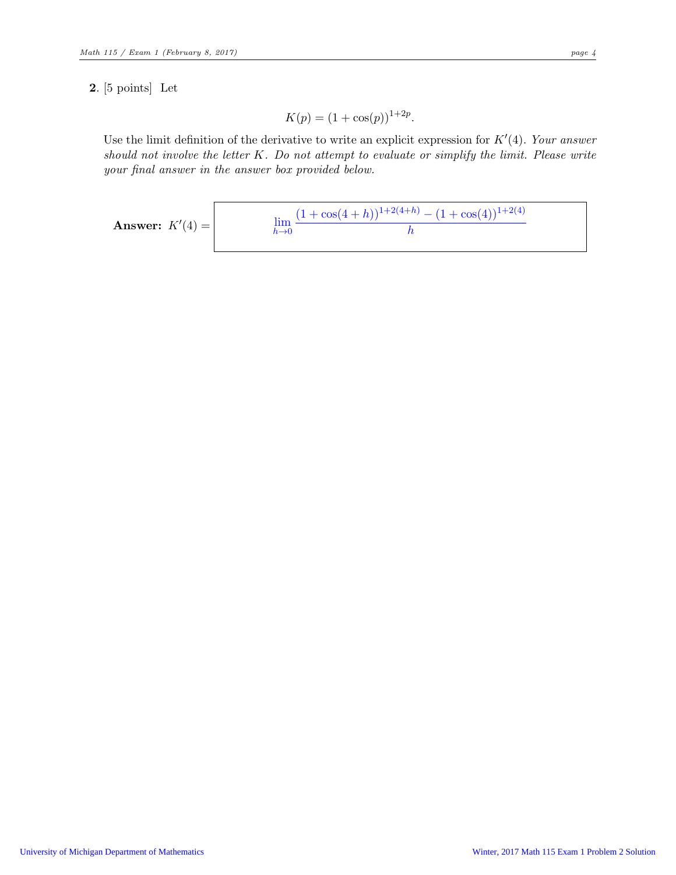## 2. [5 points] Let

$$
K(p) = (1 + \cos(p))^{1+2p}.
$$

Use the limit definition of the derivative to write an explicit expression for  $K'(4)$ . Your answer should not involve the letter K. Do not attempt to evaluate or simplify the limit. Please write your final answer in the answer box provided below.

**Answer:** 
$$
K'(4) =
$$
 
$$
\lim_{h \to 0} \frac{(1 + \cos(4 + h))^{1 + 2(4 + h)} - (1 + \cos(4))^{1 + 2(4)}}{h}
$$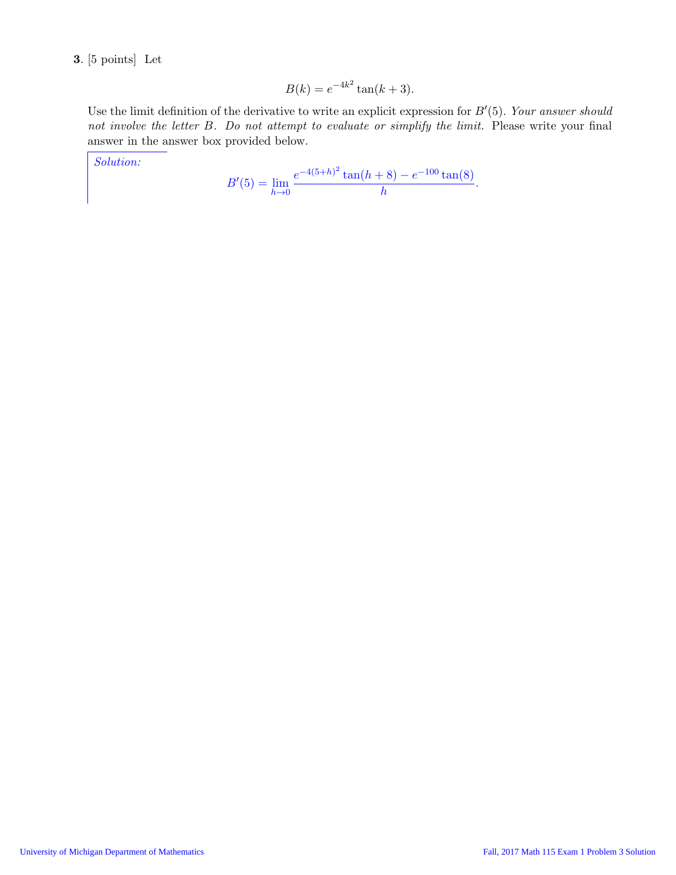3. [5 points] Let

$$
B(k) = e^{-4k^2} \tan(k+3).
$$

Use the limit definition of the derivative to write an explicit expression for B′ (5). *Your answer should not involve the letter* B*. Do not attempt to evaluate or simplify the limit.* Please write your final answer in the answer box provided below.

*Solution:*

$$
B'(5) = \lim_{h \to 0} \frac{e^{-4(5+h)^2} \tan(h+8) - e^{-100} \tan(8)}{h}.
$$